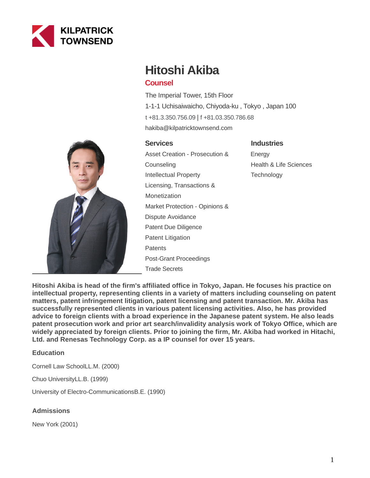

# **Hitoshi Akiba**

# **Counsel**

The Imperial Tower, 15th Floor 1-1-1 Uchisaiwaicho, Chiyoda-ku , Tokyo , Japan 100 [t +81.3.350.756.09](tel:+81.3.350.756.09) | [f +81.03.350.786.68](fax:+81.03.350.786.68) hakiba@kilpatricktownsend.com

## **Services**

## **Industries**

Asset Creation - Prosecution & Counseling Intellectual Property Licensing, Transactions & Monetization Market Protection - Opinions & Dispute Avoidance Patent Due Diligence Patent Litigation **Patents** Post-Grant Proceedings Trade Secrets

Energy Health & Life Sciences **Technology** 

**Hitoshi Akiba is head of the firm's affiliated office in Tokyo, Japan. He focuses his practice on intellectual property, representing clients in a variety of matters including counseling on patent matters, patent infringement litigation, patent licensing and patent transaction. Mr. Akiba has successfully represented clients in various patent licensing activities. Also, he has provided advice to foreign clients with a broad experience in the Japanese patent system. He also leads patent prosecution work and prior art search/invalidity analysis work of Tokyo Office, which are widely appreciated by foreign clients. Prior to joining the firm, Mr. Akiba had worked in Hitachi, Ltd. and Renesas Technology Corp. as a IP counsel for over 15 years.**

### **Education**

Cornell Law SchoolLL.M. (2000)

Chuo UniversityLL.B. (1999)

University of Electro-CommunicationsB.E. (1990)

#### **Admissions**

New York (2001)